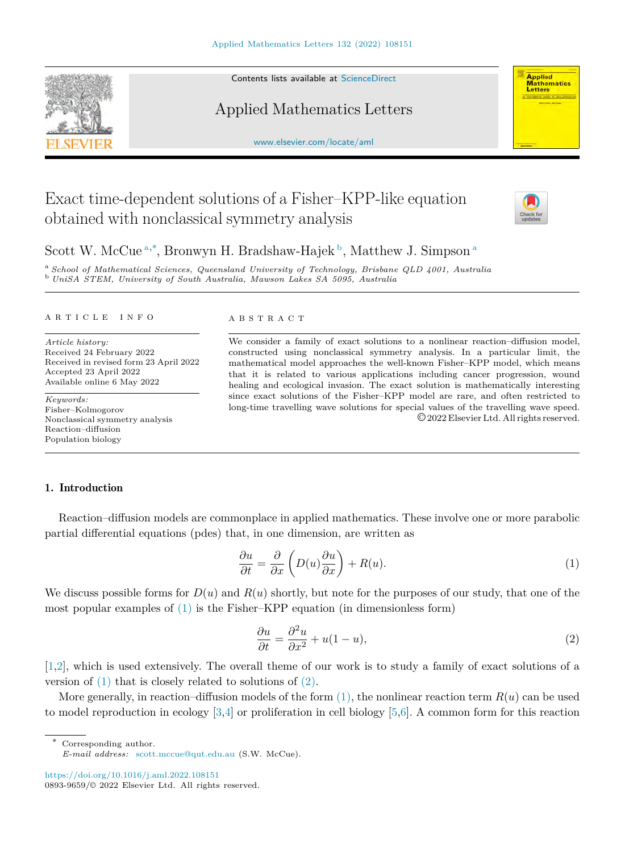Contents lists available at [ScienceDirect](http://www.elsevier.com/locate/aml)

## Applied Mathematics Letters

[www.elsevier.com/locate/aml](http://www.elsevier.com/locate/aml)

# Exact time-dependent solutions of a Fisher–KPP-like equation obtained with nonclassical symmetry analysis



**Applied**<br>Mathematics Letters

# Scott W. McCue<sup>[a](#page-0-0),\*</sup>, Bronwyn H. Bradshaw-Hajek<sup>[b](#page-0-2)</sup>, Matthew J. Simpson<sup>a</sup>

<span id="page-0-2"></span><span id="page-0-0"></span><sup>a</sup> *School of Mathematical Sciences, Queensland University of Technology, Brisbane QLD 4001, Australia* <sup>b</sup> *UniSA STEM, University of South Australia, Mawson Lakes SA 5095, Australia*

#### A R T I C L E I N F O

*Article history:* Received 24 February 2022 Received in revised form 23 April 2022 Accepted 23 April 2022 Available online 6 May 2022

*Keywords:* Fisher–Kolmogorov Nonclassical symmetry analysis Reaction–diffusion Population biology

#### A B S T R A C T

We consider a family of exact solutions to a nonlinear reaction–diffusion model, constructed using nonclassical symmetry analysis. In a particular limit, the mathematical model approaches the well-known Fisher–KPP model, which means that it is related to various applications including cancer progression, wound healing and ecological invasion. The exact solution is mathematically interesting since exact solutions of the Fisher–KPP model are rare, and often restricted to long-time travelling wave solutions for special values of the travelling wave speed. ©2022 Elsevier Ltd. All rights reserved.

## 1. Introduction

Reaction–diffusion models are commonplace in applied mathematics. These involve one or more parabolic partial differential equations (pdes) that, in one dimension, are written as

$$
\frac{\partial u}{\partial t} = \frac{\partial}{\partial x} \left( D(u) \frac{\partial u}{\partial x} \right) + R(u). \tag{1}
$$

We discuss possible forms for  $D(u)$  and  $R(u)$  shortly, but note for the purposes of our study, that one of the most popular examples of ([1](#page-0-3)) is the Fisher–KPP equation (in dimensionless form)

<span id="page-0-4"></span><span id="page-0-3"></span>
$$
\frac{\partial u}{\partial t} = \frac{\partial^2 u}{\partial x^2} + u(1 - u),\tag{2}
$$

[[1,](#page-6-0)[2\]](#page-6-1), which is used extensively. The overall theme of our work is to study a family of exact solutions of a version of  $(1)$  $(1)$  that is closely related to solutions of  $(2)$  $(2)$ .

More generally, in reaction–diffusion models of the form  $(1)$  $(1)$ , the nonlinear reaction term  $R(u)$  can be used to model reproduction in ecology [\[3](#page-6-2),[4\]](#page-6-3) or proliferation in cell biology [[5,](#page-6-4)[6\]](#page-6-5). A common form for this reaction

Corresponding author.

<https://doi.org/10.1016/j.aml.2022.108151> 0893-9659/© 2022 Elsevier Ltd. All rights reserved.



<span id="page-0-1"></span>*E-mail address:* [scott.mccue@qut.edu.au](mailto:scott.mccue@qut.edu.au) (S.W. McCue).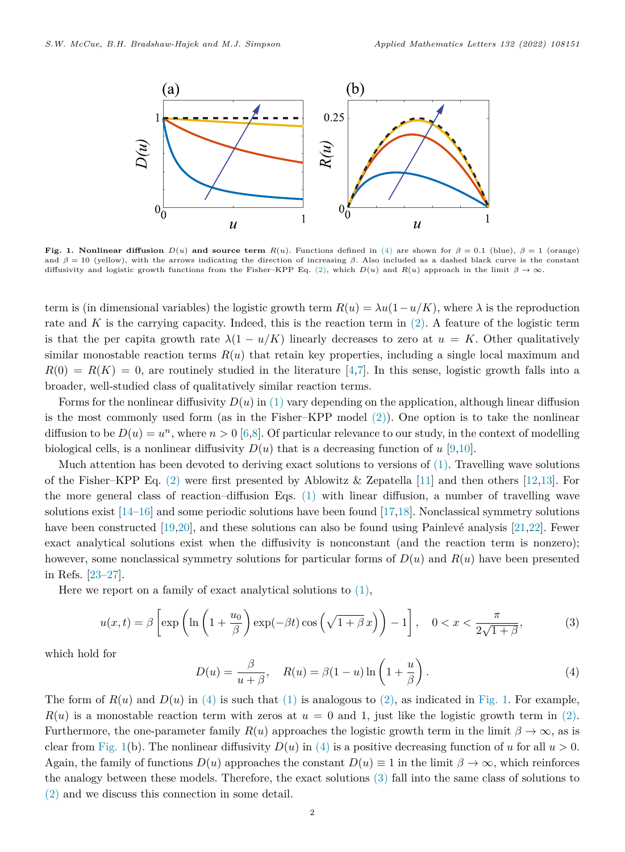

<span id="page-1-1"></span>**Fig. 1. Nonlinear diffusion**  $D(u)$  and source term  $R(u)$ . Functions defined in [\(4](#page-1-0)) are shown for  $\beta = 0.1$  (blue),  $\beta = 1$  (orange) and  $\beta = 10$  (yellow), with the arrows indicating the direction of increasing  $\beta$ . Also included as a dashed black curve is the constant diffusivity and logistic growth functions from the Fisher–KPP Eq. [\(2](#page-0-4)), which  $D(u)$  and  $R(u)$  approach in the limit  $\beta \to \infty$ .

term is (in dimensional variables) the logistic growth term  $R(u) = \lambda u(1 - u/K)$ , where  $\lambda$  is the reproduction rate and  $K$  is the carrying capacity. Indeed, this is the reaction term in  $(2)$  $(2)$ . A feature of the logistic term is that the per capita growth rate  $\lambda(1 - u/K)$  linearly decreases to zero at  $u = K$ . Other qualitatively similar monostable reaction terms  $R(u)$  that retain key properties, including a single local maximum and  $R(0) = R(K) = 0$ , are routinely studied in the literature [[4,](#page-6-3)[7](#page-6-6)]. In this sense, logistic growth falls into a broader, well-studied class of qualitatively similar reaction terms.

Forms for the nonlinear diffusivity  $D(u)$  in ([1\)](#page-0-3) vary depending on the application, although linear diffusion is the most commonly used form (as in the Fisher–KPP model  $(2)$  $(2)$ ). One option is to take the nonlinear diffusion to be  $D(u) = u^n$ , where  $n > 0$  [[6,](#page-6-5)[8\]](#page-6-7). Of particular relevance to our study, in the context of modelling biological cells, is a nonlinear diffusivity  $D(u)$  that is a decreasing function of  $u$  [[9,](#page-6-8)[10\]](#page-6-9).

Much attention has been devoted to deriving exact solutions to versions of  $(1)$  $(1)$ . Travelling wave solutions of the Fisher–KPP Eq. [\(2](#page-0-4)) were first presented by Ablowitz & Zepatella [[11\]](#page-6-10) and then others [[12](#page-6-11),[13\]](#page-6-12). For the more general class of reaction–diffusion Eqs. ([1\)](#page-0-3) with linear diffusion, a number of travelling wave solutions exist [[14–](#page-6-13)[16\]](#page-6-14) and some periodic solutions have been found [[17,](#page-6-15)[18\]](#page-6-16). Nonclassical symmetry solutions have been constructed  $[19,20]$  $[19,20]$  $[19,20]$  $[19,20]$ , and these solutions can also be found using Painlevé analysis  $[21,22]$  $[21,22]$  $[21,22]$ . Fewer exact analytical solutions exist when the diffusivity is nonconstant (and the reaction term is nonzero); however, some nonclassical symmetry solutions for particular forms of *D*(*u*) and *R*(*u*) have been presented in Refs. [\[23](#page-6-21)[–27](#page-6-22)].

Here we report on a family of exact analytical solutions to  $(1)$  $(1)$ ,

$$
u(x,t) = \beta \left[ \exp\left(\ln\left(1 + \frac{u_0}{\beta}\right) \exp(-\beta t) \cos\left(\sqrt{1 + \beta} x\right)\right) - 1 \right], \quad 0 < x < \frac{\pi}{2\sqrt{1 + \beta}},\tag{3}
$$

which hold for

<span id="page-1-2"></span><span id="page-1-0"></span>
$$
D(u) = \frac{\beta}{u + \beta}, \quad R(u) = \beta(1 - u) \ln\left(1 + \frac{u}{\beta}\right). \tag{4}
$$

The form of  $R(u)$  and  $D(u)$  in ([4\)](#page-1-0) is such that [\(1](#page-0-3)) is analogous to ([2\)](#page-0-4), as indicated in [Fig. 1.](#page-1-1) For example,  $R(u)$  is a monostable reaction term with zeros at  $u = 0$  and 1, just like the logistic growth term in ([2\)](#page-0-4). Furthermore, the one-parameter family  $R(u)$  approaches the logistic growth term in the limit  $\beta \to \infty$ , as is clear from [Fig. 1](#page-1-1)(b). The nonlinear diffusivity  $D(u)$  in ([4\)](#page-1-0) is a positive decreasing function of *u* for all  $u > 0$ . Again, the family of functions  $D(u)$  approaches the constant  $D(u) \equiv 1$  in the limit  $\beta \to \infty$ , which reinforces the analogy between these models. Therefore, the exact solutions [\(3](#page-1-2)) fall into the same class of solutions to ([2\)](#page-0-4) and we discuss this connection in some detail.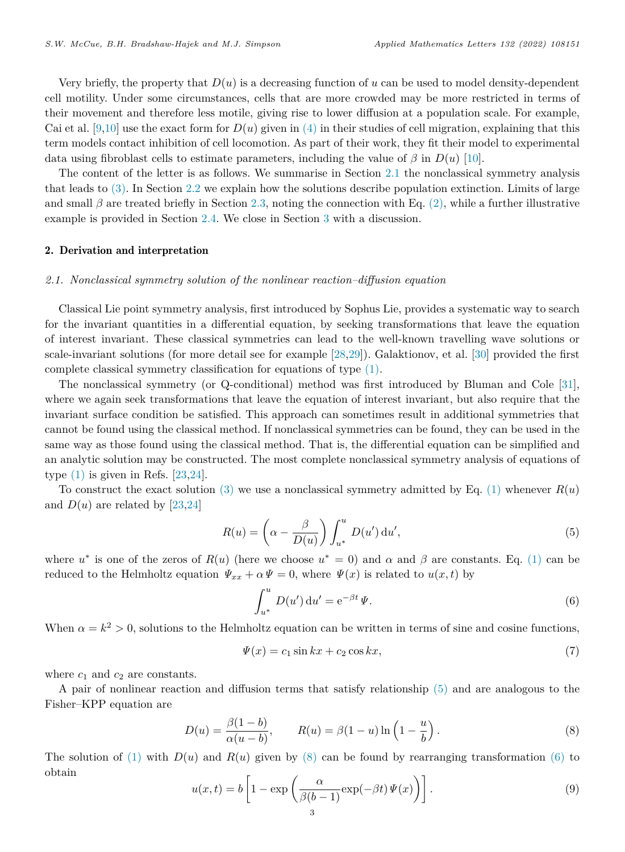Very briefly, the property that  $D(u)$  is a decreasing function of  $u$  can be used to model density-dependent cell motility. Under some circumstances, cells that are more crowded may be more restricted in terms of their movement and therefore less motile, giving rise to lower diffusion at a population scale. For example, Cai et al.  $[9,10]$  $[9,10]$  $[9,10]$  $[9,10]$  use the exact form for  $D(u)$  given in  $(4)$  $(4)$  $(4)$  in their studies of cell migration, explaining that this term models contact inhibition of cell locomotion. As part of their work, they fit their model to experimental data using fibroblast cells to estimate parameters, including the value of  $\beta$  in  $D(u)$  [[10\]](#page-6-9).

The content of the letter is as follows. We summarise in Section [2.1](#page-2-0) the nonclassical symmetry analysis that leads to ([3\)](#page-1-2). In Section [2.2](#page-3-0) we explain how the solutions describe population extinction. Limits of large and small  $\beta$  are treated briefly in Section [2.3](#page-3-1), noting the connection with Eq. ([2\)](#page-0-4), while a further illustrative example is provided in Section [2.4](#page-4-0). We close in Section [3](#page-5-0) with a discussion.

## 2. Derivation and interpretation

### *2.1. Nonclassical symmetry solution of the nonlinear reaction–diffusion equation*

<span id="page-2-0"></span>Classical Lie point symmetry analysis, first introduced by Sophus Lie, provides a systematic way to search for the invariant quantities in a differential equation, by seeking transformations that leave the equation of interest invariant. These classical symmetries can lead to the well-known travelling wave solutions or scale-invariant solutions (for more detail see for example [[28,](#page-6-23)[29\]](#page-7-0)). Galaktionov, et al. [[30\]](#page-7-1) provided the first complete classical symmetry classification for equations of type ([1\)](#page-0-3).

The nonclassical symmetry (or Q-conditional) method was first introduced by Bluman and Cole [[31\]](#page-7-2), where we again seek transformations that leave the equation of interest invariant, but also require that the invariant surface condition be satisfied. This approach can sometimes result in additional symmetries that cannot be found using the classical method. If nonclassical symmetries can be found, they can be used in the same way as those found using the classical method. That is, the differential equation can be simplified and an analytic solution may be constructed. The most complete nonclassical symmetry analysis of equations of type  $(1)$  $(1)$  is given in Refs. [[23,](#page-6-21)[24\]](#page-6-24).

To construct the exact solution [\(3](#page-1-2)) we use a nonclassical symmetry admitted by Eq. ([1\)](#page-0-3) whenever  $R(u)$ and  $D(u)$  are related by [\[23](#page-6-21),[24\]](#page-6-24)

$$
R(u) = \left(\alpha - \frac{\beta}{D(u)}\right) \int_{u^*}^u D(u') \, \mathrm{d}u',\tag{5}
$$

where  $u^*$  is one of the zeros of  $R(u)$  (here we choose  $u^* = 0$ ) and  $\alpha$  and  $\beta$  are constants. Eq. [\(1](#page-0-3)) can be reduced to the Helmholtz equation  $\Psi_{xx} + \alpha \Psi = 0$ , where  $\Psi(x)$  is related to  $u(x, t)$  by

<span id="page-2-4"></span><span id="page-2-3"></span><span id="page-2-1"></span>
$$
\int_{u^*}^{u} D(u') \, \mathrm{d}u' = e^{-\beta t} \, \Psi. \tag{6}
$$

When  $\alpha = k^2 > 0$ , solutions to the Helmholtz equation can be written in terms of sine and cosine functions,

<span id="page-2-5"></span><span id="page-2-2"></span>
$$
\Psi(x) = c_1 \sin kx + c_2 \cos kx,\tag{7}
$$

where  $c_1$  and  $c_2$  are constants.

A pair of nonlinear reaction and diffusion terms that satisfy relationship [\(5](#page-2-1)) and are analogous to the Fisher–KPP equation are

$$
D(u) = \frac{\beta(1-b)}{\alpha(u-b)}, \qquad R(u) = \beta(1-u)\ln\left(1-\frac{u}{b}\right). \tag{8}
$$

The solution of ([1\)](#page-0-3) with  $D(u)$  and  $R(u)$  given by [\(8](#page-2-2)) can be found by rearranging transformation [\(6](#page-2-3)) to obtain

$$
u(x,t) = b \left[ 1 - \exp \left( \frac{\alpha}{\beta(b-1)} \exp(-\beta t) \Psi(x) \right) \right].
$$
 (9)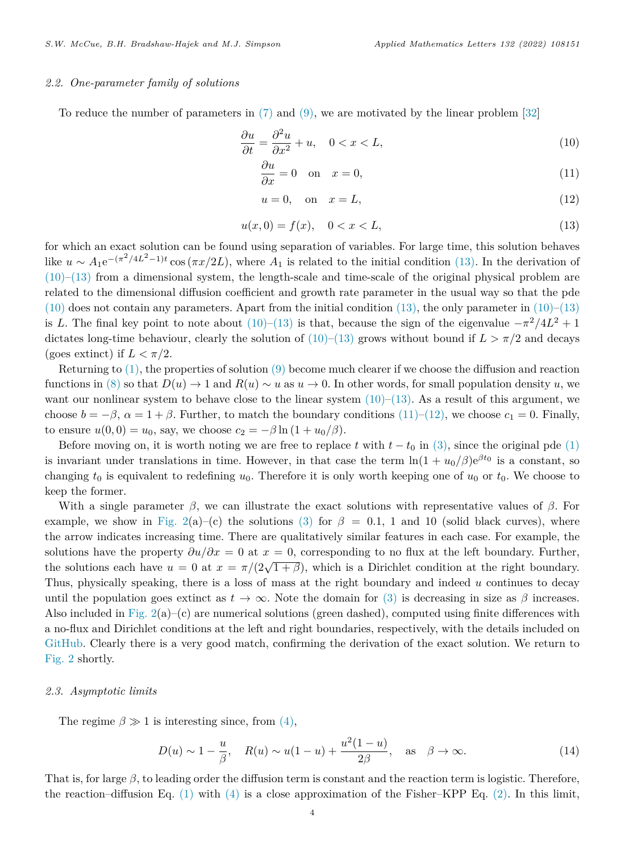## *2.2. One-parameter family of solutions*

<span id="page-3-0"></span>To reduce the number of parameters in [\(7](#page-2-4)) and ([9\)](#page-2-5), we are motivated by the linear problem [[32\]](#page-7-3)

$$
\frac{\partial u}{\partial t} = \frac{\partial^2 u}{\partial x^2} + u, \quad 0 < x < L,\tag{10}
$$

<span id="page-3-3"></span>
$$
\frac{\partial u}{\partial x} = 0 \quad \text{on} \quad x = 0,\tag{11}
$$

<span id="page-3-5"></span><span id="page-3-4"></span><span id="page-3-2"></span>
$$
u = 0, \quad \text{on} \quad x = L,\tag{12}
$$

$$
u(x,0) = f(x), \quad 0 < x < L,\tag{13}
$$

for which an exact solution can be found using separation of variables. For large time, this solution behaves like  $u \sim A_1 e^{-(\pi^2/4L^2-1)t} \cos{(\pi x/2L)}$ , where  $A_1$  is related to the initial condition [\(13](#page-3-2)). In the derivation of  $(10)$  $(10)$ – $(13)$  $(13)$  from a dimensional system, the length-scale and time-scale of the original physical problem are related to the dimensional diffusion coefficient and growth rate parameter in the usual way so that the pde  $(10)$  $(10)$  does not contain any parameters. Apart from the initial condition  $(13)$  $(13)$ , the only parameter in  $(10)$ – $(13)$ is *L*. The final key point to note about  $(10)$  $(10)$ – $(13)$  $(13)$  is that, because the sign of the eigenvalue  $-\pi^2/4L^2 + 1$ dictates long-time behaviour, clearly the solution of  $(10)$  $(10)$ – $(13)$  $(13)$  grows without bound if  $L > \pi/2$  and decays (goes extinct) if  $L < \pi/2$ .

Returning to ([1\)](#page-0-3), the properties of solution [\(9](#page-2-5)) become much clearer if we choose the diffusion and reaction functions in [\(8](#page-2-2)) so that  $D(u) \to 1$  and  $R(u) \sim u$  as  $u \to 0$ . In other words, for small population density *u*, we want our nonlinear system to behave close to the linear system  $(10)$  $(10)$ – $(13)$  $(13)$ . As a result of this argument, we choose  $b = -\beta$ ,  $\alpha = 1 + \beta$ . Further, to match the boundary conditions ([11\)](#page-3-4)–([12\)](#page-3-5), we choose  $c_1 = 0$ . Finally, to ensure  $u(0,0) = u_0$ , say, we choose  $c_2 = -\beta \ln(1 + u_0/\beta)$ .

Before moving on, it is worth noting we are free to replace  $t$  with  $t - t_0$  in [\(3\)](#page-1-2), since the original pde [\(1](#page-0-3)) is invariant under translations in time. However, in that case the term  $\ln(1 + u_0/\beta)e^{\beta t_0}$  is a constant, so changing  $t_0$  is equivalent to redefining  $u_0$ . Therefore it is only worth keeping one of  $u_0$  or  $t_0$ . We choose to keep the former.

With a single parameter  $\beta$ , we can illustrate the exact solutions with representative values of  $\beta$ . For example, we show in Fig.  $2(a)$ –(c) the solutions [\(3](#page-1-2)) for  $\beta = 0.1$ , 1 and 10 (solid black curves), where the arrow indicates increasing time. There are qualitatively similar features in each case. For example, the solutions have the property  $\partial u/\partial x = 0$  at  $x = 0$ , corresponding to no flux at the left boundary. Further, the solutions have the property  $\sigma u/\sigma x = \sigma dx x = \sigma$ , corresponding to no has at the return boundary. Turning, the solutions each have  $u = 0$  at  $x = \pi/(2\sqrt{1+\beta})$ , which is a Dirichlet condition at the right boundary. Thus, physically speaking, there is a loss of mass at the right boundary and indeed *u* continues to decay until the population goes extinct as  $t \to \infty$ . Note the domain for [\(3](#page-1-2)) is decreasing in size as  $\beta$  increases. Also included in Fig.  $2(a)$ –(c) are numerical solutions (green dashed), computed using finite differences with a no-flux and Dirichlet conditions at the left and right boundaries, respectively, with the details included on [GitHub](https://github.com/ProfMJSimpson/FisherKPP). Clearly there is a very good match, confirming the derivation of the exact solution. We return to [Fig. 2](#page-4-1) shortly.

#### *2.3. Asymptotic limits*

<span id="page-3-1"></span>The regime  $\beta \gg 1$  is interesting since, from [\(4](#page-1-0)),

<span id="page-3-6"></span>
$$
D(u) \sim 1 - \frac{u}{\beta}, \quad R(u) \sim u(1 - u) + \frac{u^2(1 - u)}{2\beta}, \quad \text{as} \quad \beta \to \infty.
$$
 (14)

That is, for large  $\beta$ , to leading order the diffusion term is constant and the reaction term is logistic. Therefore, the reaction–diffusion Eq. ([1\)](#page-0-3) with ([4\)](#page-1-0) is a close approximation of the Fisher–KPP Eq. [\(2](#page-0-4)). In this limit,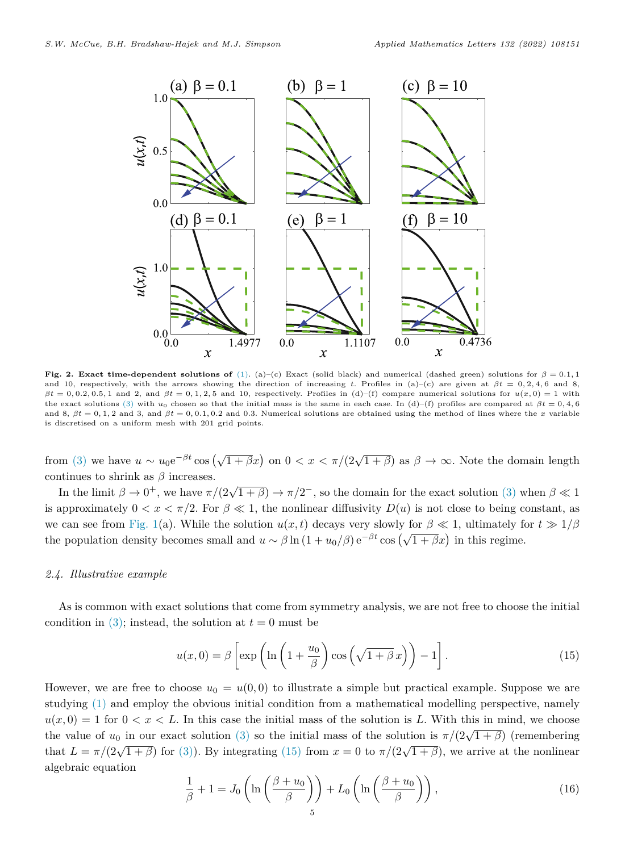

<span id="page-4-1"></span>**Fig. 2. Exact time-dependent solutions of** [\(1](#page-0-3)). (a)–(c) Exact (solid black) and numerical (dashed green) solutions for  $\beta = 0.1, 1$ and 10, respectively, with the arrows showing the direction of increasing *t*. Profiles in (a)–(c) are given at  $\beta t = 0, 2, 4, 6$  and 8,  $\beta t = 0, 0.2, 0.5, 1$  and 2, and  $\beta t = 0, 1, 2, 5$  and 10, respectively. Profiles in (d)–(f) compare numerical solutions for  $u(x, 0) = 1$  with the exact solutions ([3\)](#page-1-2) with *u*<sup>0</sup> chosen so that the initial mass is the same in each case. In (d)–(f) profiles are compared at *βt* = 0*,* 4*,* 6 and 8,  $\beta t = 0, 1, 2$  and 3, and  $\beta t = 0, 0.1, 0.2$  and 0.3. Numerical solutions are obtained using the method of lines where the *x* variable is discretised on a uniform mesh with 201 grid points.

from ([3\)](#page-1-2) we have  $u \sim u_0 e^{-\beta t} \cos(\sqrt{1+\beta}x)$  on  $0 < x < \pi/(2\sqrt{1+\beta})$  as  $\beta \to \infty$ . Note the domain length continues to shrink as *β* increases.

In the limit  $\beta \to 0^+$ , we have  $\pi/(2\sqrt{1+\beta}) \to \pi/2^-$ , so the domain for the exact solution ([3\)](#page-1-2) when  $\beta \ll 1$ is approximately  $0 < x < \pi/2$ . For  $\beta \ll 1$ , the nonlinear diffusivity  $D(u)$  is not close to being constant, as we can see from [Fig. 1\(](#page-1-1)a). While the solution  $u(x, t)$  decays very slowly for  $\beta \ll 1$ , ultimately for  $t \gg 1/\beta$ the population density becomes small and  $u \sim \beta \ln(1 + u_0/\beta) e^{-\beta t} \cos(\sqrt{1 + \beta}x)$  in this regime.

#### *2.4. Illustrative example*

<span id="page-4-0"></span>As is common with exact solutions that come from symmetry analysis, we are not free to choose the initial condition in  $(3)$  $(3)$ ; instead, the solution at  $t = 0$  must be

<span id="page-4-2"></span>
$$
u(x,0) = \beta \left[ \exp \left( \ln \left( 1 + \frac{u_0}{\beta} \right) \cos \left( \sqrt{1 + \beta} \, x \right) \right) - 1 \right]. \tag{15}
$$

However, we are free to choose  $u_0 = u(0,0)$  to illustrate a simple but practical example. Suppose we are studying ([1\)](#page-0-3) and employ the obvious initial condition from a mathematical modelling perspective, namely  $u(x,0) = 1$  for  $0 < x < L$ . In this case the initial mass of the solution is L. With this in mind, we choose the value of  $u_0$  in our exact solution ([3\)](#page-1-2) so the initial mass of the solution is  $\pi/(2\sqrt{1+\beta})$  (remembering the value of  $u_0$  in our exact solution (3) so the initial mass of the solution is  $\pi/(2\sqrt{1+\beta})$  (remembering that  $L = \pi/(2\sqrt{1+\beta})$  for ([3\)](#page-1-2)). By integrating ([15\)](#page-4-2) from  $x = 0$  to  $\pi/(2\sqrt{1+\beta})$ , we arrive at the nonlinear algebraic equation

<span id="page-4-3"></span>
$$
\frac{1}{\beta} + 1 = J_0 \left( \ln \left( \frac{\beta + u_0}{\beta} \right) \right) + L_0 \left( \ln \left( \frac{\beta + u_0}{\beta} \right) \right),\tag{16}
$$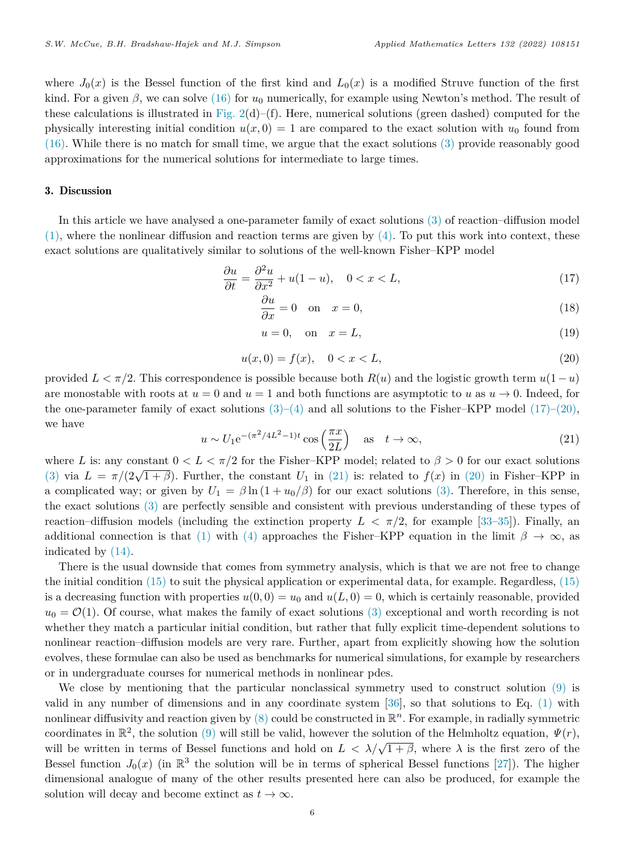where  $J_0(x)$  is the Bessel function of the first kind and  $L_0(x)$  is a modified Struve function of the first kind. For a given *β*, we can solve ([16\)](#page-4-3) for *u*<sup>0</sup> numerically, for example using Newton's method. The result of these calculations is illustrated in Fig.  $2(d)$ –(f). Here, numerical solutions (green dashed) computed for the physically interesting initial condition  $u(x, 0) = 1$  are compared to the exact solution with  $u_0$  found from ([16\)](#page-4-3). While there is no match for small time, we argue that the exact solutions [\(3](#page-1-2)) provide reasonably good approximations for the numerical solutions for intermediate to large times.

## 3. Discussion

<span id="page-5-0"></span>In this article we have analysed a one-parameter family of exact solutions [\(3](#page-1-2)) of reaction–diffusion model  $(1)$  $(1)$ , where the nonlinear diffusion and reaction terms are given by  $(4)$  $(4)$ . To put this work into context, these exact solutions are qualitatively similar to solutions of the well-known Fisher–KPP model

$$
\frac{\partial u}{\partial t} = \frac{\partial^2 u}{\partial x^2} + u(1 - u), \quad 0 < x < L,\tag{17}
$$

<span id="page-5-1"></span>
$$
\frac{\partial u}{\partial x} = 0 \quad \text{on} \quad x = 0,\tag{18}
$$

<span id="page-5-3"></span><span id="page-5-2"></span>
$$
u = 0, \quad \text{on} \quad x = L,\tag{19}
$$

$$
u(x,0) = f(x), \quad 0 < x < L,\tag{20}
$$

provided  $L < \pi/2$ . This correspondence is possible because both  $R(u)$  and the logistic growth term  $u(1-u)$ are monostable with roots at  $u = 0$  and  $u = 1$  and both functions are asymptotic to *u* as  $u \to 0$ . Indeed, for the one-parameter family of exact solutions  $(3)-(4)$  $(3)-(4)$  $(3)-(4)$  and all solutions to the Fisher–KPP model  $(17)-(20)$  $(17)-(20)$  $(17)-(20)$  $(17)-(20)$ , we have

$$
u \sim U_1 e^{-(\pi^2/4L^2 - 1)t} \cos\left(\frac{\pi x}{2L}\right) \quad \text{as} \quad t \to \infty,
$$
\n(21)

where *L* is: any constant  $0 < L < \pi/2$  for the Fisher–KPP model; related to  $\beta > 0$  for our exact solutions ([3\)](#page-1-2) via  $L = \pi/(2\sqrt{1+\beta})$ . Further, the constant  $U_1$  in [\(21](#page-5-3)) is: related to  $f(x)$  in ([20\)](#page-5-2) in Fisher–KPP in a complicated way; or given by  $U_1 = \beta \ln(1 + u_0/\beta)$  for our exact solutions ([3\)](#page-1-2). Therefore, in this sense, the exact solutions [\(3](#page-1-2)) are perfectly sensible and consistent with previous understanding of these types of reaction–diffusion models (including the extinction property  $L < \pi/2$ , for example [[33–](#page-7-4)[35\]](#page-7-5)). Finally, an additional connection is that [\(1](#page-0-3)) with ([4\)](#page-1-0) approaches the Fisher–KPP equation in the limit  $\beta \to \infty$ , as indicated by ([14\)](#page-3-6).

There is the usual downside that comes from symmetry analysis, which is that we are not free to change the initial condition [\(15](#page-4-2)) to suit the physical application or experimental data, for example. Regardless, [\(15](#page-4-2)) is a decreasing function with properties  $u(0,0) = u_0$  and  $u(L,0) = 0$ , which is certainly reasonable, provided  $u_0 = \mathcal{O}(1)$ . Of course, what makes the family of exact solutions ([3\)](#page-1-2) exceptional and worth recording is not whether they match a particular initial condition, but rather that fully explicit time-dependent solutions to nonlinear reaction–diffusion models are very rare. Further, apart from explicitly showing how the solution evolves, these formulae can also be used as benchmarks for numerical simulations, for example by researchers or in undergraduate courses for numerical methods in nonlinear pdes.

We close by mentioning that the particular nonclassical symmetry used to construct solution ([9\)](#page-2-5) is valid in any number of dimensions and in any coordinate system [[36\]](#page-7-6), so that solutions to Eq. ([1\)](#page-0-3) with nonlinear diffusivity and reaction given by [\(8](#page-2-2)) could be constructed in R *<sup>n</sup>*. For example, in radially symmetric coordinates in  $\mathbb{R}^2$ , the solution [\(9](#page-2-5)) will still be valid, however the solution of the Helmholtz equation,  $\Psi(r)$ , will be written in terms of Bessel functions and hold on  $L < \lambda/\sqrt{1+\beta}$ , where  $\lambda$  is the first zero of the Bessel function  $J_0(x)$  (in  $\mathbb{R}^3$  the solution will be in terms of spherical Bessel functions [[27\]](#page-6-22)). The higher dimensional analogue of many of the other results presented here can also be produced, for example the solution will decay and become extinct as  $t \to \infty$ .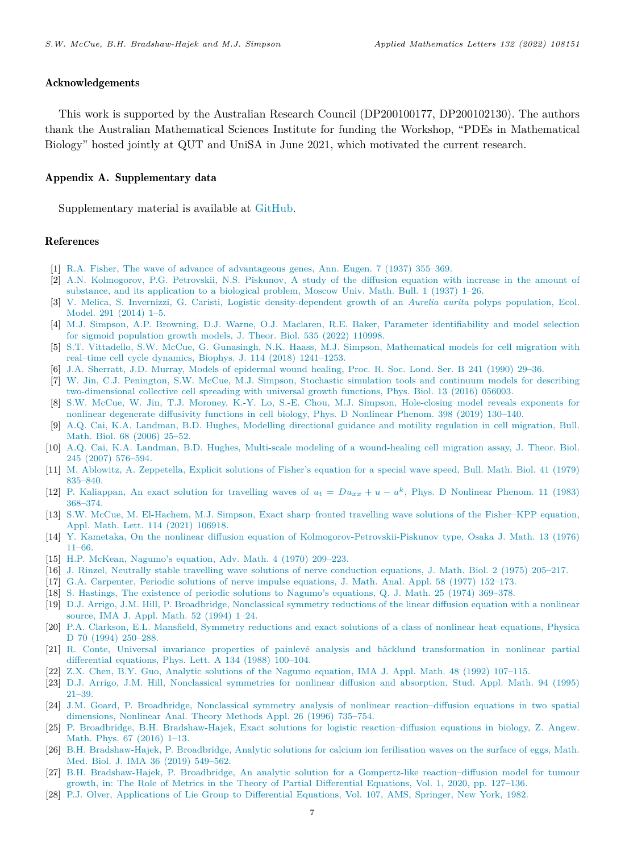## Acknowledgements

This work is supported by the Australian Research Council (DP200100177, DP200102130). The authors thank the Australian Mathematical Sciences Institute for funding the Workshop, "PDEs in Mathematical Biology" hosted jointly at QUT and UniSA in June 2021, which motivated the current research.

## Appendix A. Supplementary data

Supplementary material is available at [GitHub](https://github.com/ProfMJSimpson/FisherKPP).

## References

- <span id="page-6-0"></span>[1] [R.A. Fisher, The wave of advance of advantageous genes, Ann. Eugen. 7 \(1937\) 355–369.](http://refhub.elsevier.com/S0893-9659(22)00139-2/sb1)
- <span id="page-6-1"></span>[2] [A.N. Kolmogorov, P.G. Petrovskii, N.S. Piskunov, A study of the diffusion equation with increase in the amount of](http://refhub.elsevier.com/S0893-9659(22)00139-2/sb2) [substance, and its application to a biological problem, Moscow Univ. Math. Bull. 1 \(1937\) 1–26.](http://refhub.elsevier.com/S0893-9659(22)00139-2/sb2)
- <span id="page-6-2"></span>[3] [V. Melica, S. Invernizzi, G. Caristi, Logistic density-dependent growth of an](http://refhub.elsevier.com/S0893-9659(22)00139-2/sb3) *Aurelia aurita* polyps population, Ecol. [Model. 291 \(2014\) 1–5.](http://refhub.elsevier.com/S0893-9659(22)00139-2/sb3)
- <span id="page-6-3"></span>[4] [M.J. Simpson, A.P. Browning, D.J. Warne, O.J. Maclaren, R.E. Baker, Parameter identifiability and model selection](http://refhub.elsevier.com/S0893-9659(22)00139-2/sb4) [for sigmoid population growth models, J. Theor. Biol. 535 \(2022\) 110998.](http://refhub.elsevier.com/S0893-9659(22)00139-2/sb4)
- <span id="page-6-4"></span>[5] [S.T. Vittadello, S.W. McCue, G. Gunasingh, N.K. Haass, M.J. Simpson, Mathematical models for cell migration with](http://refhub.elsevier.com/S0893-9659(22)00139-2/sb5) [real–time cell cycle dynamics, Biophys. J. 114 \(2018\) 1241–1253.](http://refhub.elsevier.com/S0893-9659(22)00139-2/sb5)
- <span id="page-6-5"></span>[6] [J.A. Sherratt, J.D. Murray, Models of epidermal wound healing, Proc. R. Soc. Lond. Ser. B 241 \(1990\) 29–36.](http://refhub.elsevier.com/S0893-9659(22)00139-2/sb6)
- <span id="page-6-6"></span>[7] [W. Jin, C.J. Penington, S.W. McCue, M.J. Simpson, Stochastic simulation tools and continuum models for describing](http://refhub.elsevier.com/S0893-9659(22)00139-2/sb7) [two-dimensional collective cell spreading with universal growth functions, Phys. Biol. 13 \(2016\) 056003.](http://refhub.elsevier.com/S0893-9659(22)00139-2/sb7)
- <span id="page-6-7"></span>[8] [S.W. McCue, W. Jin, T.J. Moroney, K.-Y. Lo, S.-E. Chou, M.J. Simpson, Hole-closing model reveals exponents for](http://refhub.elsevier.com/S0893-9659(22)00139-2/sb8) [nonlinear degenerate diffusivity functions in cell biology, Phys. D Nonlinear Phenom. 398 \(2019\) 130–140.](http://refhub.elsevier.com/S0893-9659(22)00139-2/sb8)
- <span id="page-6-8"></span>[9] [A.Q. Cai, K.A. Landman, B.D. Hughes, Modelling directional guidance and motility regulation in cell migration, Bull.](http://refhub.elsevier.com/S0893-9659(22)00139-2/sb9) [Math. Biol. 68 \(2006\) 25–52.](http://refhub.elsevier.com/S0893-9659(22)00139-2/sb9)
- <span id="page-6-9"></span>[10] [A.Q. Cai, K.A. Landman, B.D. Hughes, Multi-scale modeling of a wound-healing cell migration assay, J. Theor. Biol.](http://refhub.elsevier.com/S0893-9659(22)00139-2/sb10) [245 \(2007\) 576–594.](http://refhub.elsevier.com/S0893-9659(22)00139-2/sb10)
- <span id="page-6-10"></span>[11] [M. Ablowitz, A. Zeppetella, Explicit solutions of Fisher's equation for a special wave speed, Bull. Math. Biol. 41 \(1979\)](http://refhub.elsevier.com/S0893-9659(22)00139-2/sb11) [835–840.](http://refhub.elsevier.com/S0893-9659(22)00139-2/sb11)
- <span id="page-6-11"></span>[12] [P. Kaliappan, An exact solution for travelling waves of](http://refhub.elsevier.com/S0893-9659(22)00139-2/sb12)  $u_t = Du_{xx} + u - u^k$ , Phys. D Nonlinear Phenom. 11 (1983) [368–374.](http://refhub.elsevier.com/S0893-9659(22)00139-2/sb12)
- <span id="page-6-12"></span>[13] [S.W. McCue, M. El-Hachem, M.J. Simpson, Exact sharp–fronted travelling wave solutions of the Fisher–KPP equation,](http://refhub.elsevier.com/S0893-9659(22)00139-2/sb13) [Appl. Math. Lett. 114 \(2021\) 106918.](http://refhub.elsevier.com/S0893-9659(22)00139-2/sb13)
- <span id="page-6-13"></span>[14] [Y. Kametaka, On the nonlinear diffusion equation of Kolmogorov-Petrovskii-Piskunov type, Osaka J. Math. 13 \(1976\)](http://refhub.elsevier.com/S0893-9659(22)00139-2/sb14) [11–66.](http://refhub.elsevier.com/S0893-9659(22)00139-2/sb14)
- [15] [H.P. McKean, Nagumo's equation, Adv. Math. 4 \(1970\) 209–223.](http://refhub.elsevier.com/S0893-9659(22)00139-2/sb15)
- <span id="page-6-14"></span>[16] [J. Rinzel, Neutrally stable travelling wave solutions of nerve conduction equations, J. Math. Biol. 2 \(1975\) 205–217.](http://refhub.elsevier.com/S0893-9659(22)00139-2/sb16)
- <span id="page-6-15"></span>[17] [G.A. Carpenter, Periodic solutions of nerve impulse equations, J. Math. Anal. Appl. 58 \(1977\) 152–173.](http://refhub.elsevier.com/S0893-9659(22)00139-2/sb17)
- <span id="page-6-16"></span>[18] [S. Hastings, The existence of periodic solutions to Nagumo's equations, Q. J. Math. 25 \(1974\) 369–378.](http://refhub.elsevier.com/S0893-9659(22)00139-2/sb18)
- <span id="page-6-17"></span>[19] [D.J. Arrigo, J.M. Hill, P. Broadbridge, Nonclassical symmetry reductions of the linear diffusion equation with a nonlinear](http://refhub.elsevier.com/S0893-9659(22)00139-2/sb19) [source, IMA J. Appl. Math. 52 \(1994\) 1–24.](http://refhub.elsevier.com/S0893-9659(22)00139-2/sb19)
- <span id="page-6-18"></span>[20] [P.A. Clarkson, E.L. Mansfield, Symmetry reductions and exact solutions of a class of nonlinear heat equations, Physica](http://refhub.elsevier.com/S0893-9659(22)00139-2/sb20) [D 70 \(1994\) 250–288.](http://refhub.elsevier.com/S0893-9659(22)00139-2/sb20)
- <span id="page-6-19"></span>[21] R. Conte, Universal invariance properties of painlevé analysis and bäcklund transformation in nonlinear partial [differential equations, Phys. Lett. A 134 \(1988\) 100–104.](http://refhub.elsevier.com/S0893-9659(22)00139-2/sb21)
- <span id="page-6-20"></span>[22] [Z.X. Chen, B.Y. Guo, Analytic solutions of the Nagumo equation, IMA J. Appl. Math. 48 \(1992\) 107–115.](http://refhub.elsevier.com/S0893-9659(22)00139-2/sb22)
- <span id="page-6-21"></span>[23] [D.J. Arrigo, J.M. Hill, Nonclassical symmetries for nonlinear diffusion and absorption, Stud. Appl. Math. 94 \(1995\)](http://refhub.elsevier.com/S0893-9659(22)00139-2/sb23) [21–39.](http://refhub.elsevier.com/S0893-9659(22)00139-2/sb23)
- <span id="page-6-24"></span>[24] [J.M. Goard, P. Broadbridge, Nonclassical symmetry analysis of nonlinear reaction–diffusion equations in two spatial](http://refhub.elsevier.com/S0893-9659(22)00139-2/sb24) [dimensions, Nonlinear Anal. Theory Methods Appl. 26 \(1996\) 735–754.](http://refhub.elsevier.com/S0893-9659(22)00139-2/sb24)
- [25] [P. Broadbridge, B.H. Bradshaw-Hajek, Exact solutions for logistic reaction–diffusion equations in biology, Z. Angew.](http://refhub.elsevier.com/S0893-9659(22)00139-2/sb25) [Math. Phys. 67 \(2016\) 1–13.](http://refhub.elsevier.com/S0893-9659(22)00139-2/sb25)
- [26] [B.H. Bradshaw-Hajek, P. Broadbridge, Analytic solutions for calcium ion ferilisation waves on the surface of eggs, Math.](http://refhub.elsevier.com/S0893-9659(22)00139-2/sb26) [Med. Biol. J. IMA 36 \(2019\) 549–562.](http://refhub.elsevier.com/S0893-9659(22)00139-2/sb26)
- <span id="page-6-22"></span>[27] [B.H. Bradshaw-Hajek, P. Broadbridge, An analytic solution for a Gompertz-like reaction–diffusion model for tumour](http://refhub.elsevier.com/S0893-9659(22)00139-2/sb27) [growth, in: The Role of Metrics in the Theory of Partial Differential Equations, Vol. 1, 2020, pp. 127–136.](http://refhub.elsevier.com/S0893-9659(22)00139-2/sb27)
- <span id="page-6-23"></span>[28] [P.J. Olver, Applications of Lie Group to Differential Equations, Vol. 107, AMS, Springer, New York, 1982.](http://refhub.elsevier.com/S0893-9659(22)00139-2/sb28)